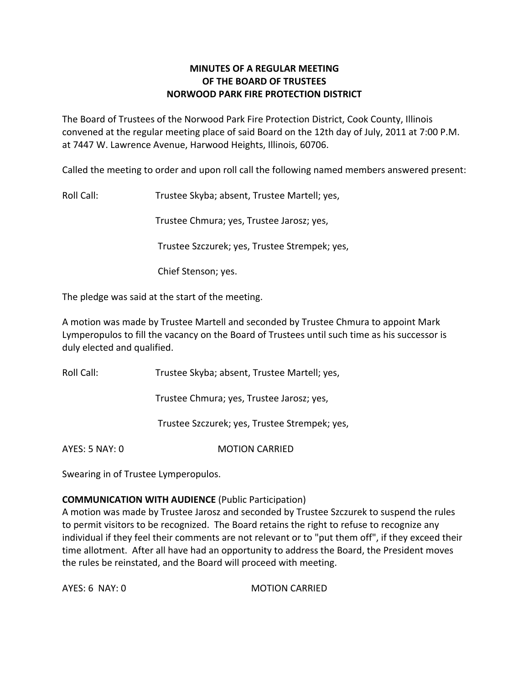# **MINUTES OF A REGULAR MEETING OF THE BOARD OF TRUSTEES NORWOOD PARK FIRE PROTECTION DISTRICT**

The Board of Trustees of the Norwood Park Fire Protection District, Cook County, Illinois convened at the regular meeting place of said Board on the 12th day of July, 2011 at 7:00 P.M. at 7447 W. Lawrence Avenue, Harwood Heights, Illinois, 60706.

Called the meeting to order and upon roll call the following named members answered present:

Roll Call: Trustee Skyba; absent, Trustee Martell; yes,

Trustee Chmura; yes, Trustee Jarosz; yes,

Trustee Szczurek; yes, Trustee Strempek; yes,

Chief Stenson; yes.

The pledge was said at the start of the meeting.

A motion was made by Trustee Martell and seconded by Trustee Chmura to appoint Mark Lymperopulos to fill the vacancy on the Board of Trustees until such time as his successor is duly elected and qualified.

Roll Call: Trustee Skyba; absent, Trustee Martell; yes,

Trustee Chmura; yes, Trustee Jarosz; yes,

Trustee Szczurek; yes, Trustee Strempek; yes,

AYES: 5 NAY: 0 **MOTION CARRIED** 

Swearing in of Trustee Lymperopulos.

# **COMMUNICATION WITH AUDIENCE** (Public Participation)

A motion was made by Trustee Jarosz and seconded by Trustee Szczurek to suspend the rules to permit visitors to be recognized. The Board retains the right to refuse to recognize any individual if they feel their comments are not relevant or to "put them off", if they exceed their time allotment. After all have had an opportunity to address the Board, the President moves the rules be reinstated, and the Board will proceed with meeting.

AYES: 6 NAY: 0 MOTION CARRIED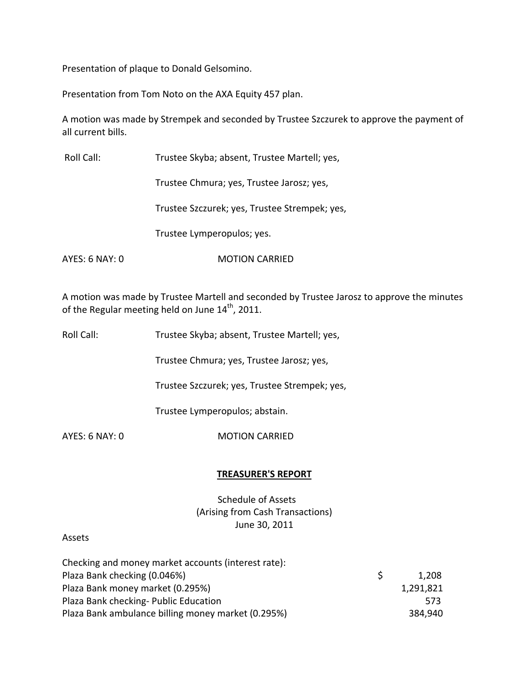Presentation of plaque to Donald Gelsomino.

Presentation from Tom Noto on the AXA Equity 457 plan.

A motion was made by Strempek and seconded by Trustee Szczurek to approve the payment of all current bills.

| Roll Call:     | Trustee Skyba; absent, Trustee Martell; yes,  |
|----------------|-----------------------------------------------|
|                | Trustee Chmura; yes, Trustee Jarosz; yes,     |
|                | Trustee Szczurek; yes, Trustee Strempek; yes, |
|                | Trustee Lymperopulos; yes.                    |
| AYES: 6 NAY: 0 | <b>MOTION CARRIED</b>                         |

A motion was made by Trustee Martell and seconded by Trustee Jarosz to approve the minutes of the Regular meeting held on June  $14^{\text{th}}$ , 2011.

Roll Call: Trustee Skyba; absent, Trustee Martell; yes,

Trustee Chmura; yes, Trustee Jarosz; yes,

Trustee Szczurek; yes, Trustee Strempek; yes,

Trustee Lymperopulos; abstain.

AYES: 6 NAY: 0 MOTION CARRIED

# **TREASURER'S REPORT**

Schedule of Assets (Arising from Cash Transactions) June 30, 2011

### Assets

| Checking and money market accounts (interest rate): |           |
|-----------------------------------------------------|-----------|
| Plaza Bank checking (0.046%)                        | 1,208     |
| Plaza Bank money market (0.295%)                    | 1,291,821 |
| Plaza Bank checking- Public Education               | 573.      |
| Plaza Bank ambulance billing money market (0.295%)  | 384,940   |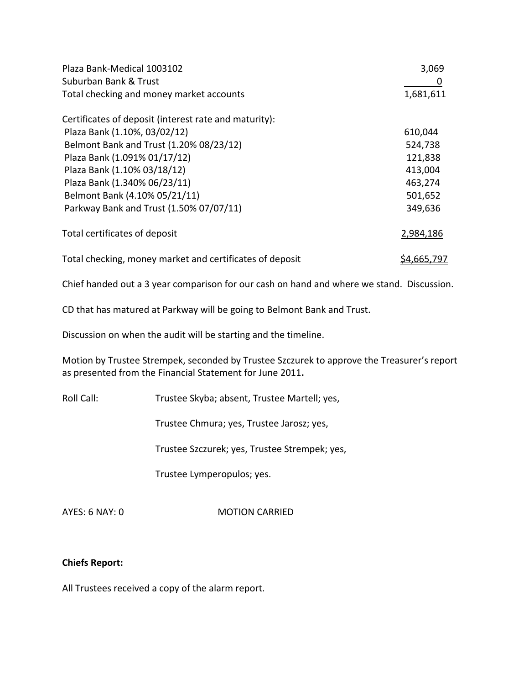| Plaza Bank-Medical 1003102                               | 3,069       |  |
|----------------------------------------------------------|-------------|--|
| Suburban Bank & Trust                                    | U           |  |
| Total checking and money market accounts                 | 1,681,611   |  |
| Certificates of deposit (interest rate and maturity):    |             |  |
| Plaza Bank (1.10%, 03/02/12)                             | 610,044     |  |
| Belmont Bank and Trust (1.20% 08/23/12)                  | 524,738     |  |
| Plaza Bank (1.091% 01/17/12)                             | 121,838     |  |
| Plaza Bank (1.10% 03/18/12)                              | 413,004     |  |
| Plaza Bank (1.340% 06/23/11)                             | 463,274     |  |
| Belmont Bank (4.10% 05/21/11)                            | 501,652     |  |
| Parkway Bank and Trust (1.50% 07/07/11)                  | 349,636     |  |
| Total certificates of deposit                            | 2,984,186   |  |
| Total checking, money market and certificates of deposit | \$4,665,797 |  |

Chief handed out a 3 year comparison for our cash on hand and where we stand. Discussion.

CD that has matured at Parkway will be going to Belmont Bank and Trust.

Discussion on when the audit will be starting and the timeline.

Motion by Trustee Strempek, seconded by Trustee Szczurek to approve the Treasurer's report as presented from the Financial Statement for June 2011**.**

Roll Call: Trustee Skyba; absent, Trustee Martell; yes,

Trustee Chmura; yes, Trustee Jarosz; yes,

Trustee Szczurek; yes, Trustee Strempek; yes,

Trustee Lymperopulos; yes.

AYES: 6 NAY: 0 **MOTION CARRIED** 

# **Chiefs Report:**

All Trustees received a copy of the alarm report.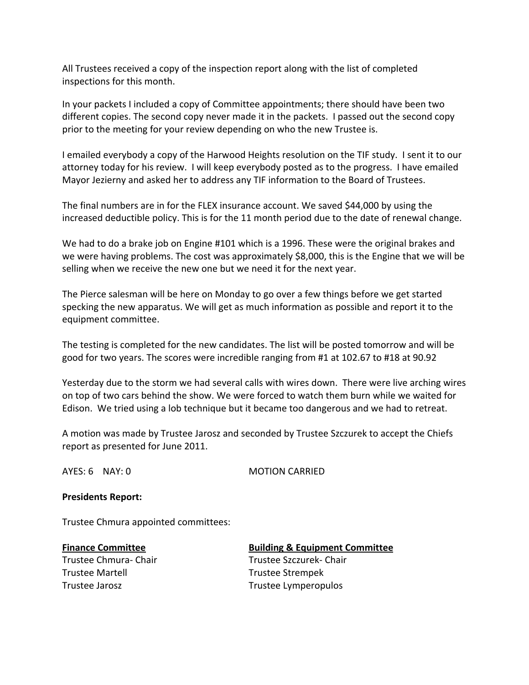All Trustees received a copy of the inspection report along with the list of completed inspections for this month.

In your packets I included a copy of Committee appointments; there should have been two different copies. The second copy never made it in the packets. I passed out the second copy prior to the meeting for your review depending on who the new Trustee is.

I emailed everybody a copy of the Harwood Heights resolution on the TIF study. I sent it to our attorney today for his review. I will keep everybody posted as to the progress. I have emailed Mayor Jezierny and asked her to address any TIF information to the Board of Trustees.

The final numbers are in for the FLEX insurance account. We saved \$44,000 by using the increased deductible policy. This is for the 11 month period due to the date of renewal change.

We had to do a brake job on Engine #101 which is a 1996. These were the original brakes and we were having problems. The cost was approximately \$8,000, this is the Engine that we will be selling when we receive the new one but we need it for the next year.

The Pierce salesman will be here on Monday to go over a few things before we get started specking the new apparatus. We will get as much information as possible and report it to the equipment committee.

The testing is completed for the new candidates. The list will be posted tomorrow and will be good for two years. The scores were incredible ranging from #1 at 102.67 to #18 at 90.92

Yesterday due to the storm we had several calls with wires down. There were live arching wires on top of two cars behind the show. We were forced to watch them burn while we waited for Edison. We tried using a lob technique but it became too dangerous and we had to retreat.

A motion was made by Trustee Jarosz and seconded by Trustee Szczurek to accept the Chiefs report as presented for June 2011.

AYES: 6 NAY: 0 **MOTION CARRIED** 

# **Presidents Report:**

Trustee Chmura appointed committees:

### **Finance Committee Building & Equipment Committee**

Trustee Martell **Trustee Strempek** Trustee Jarosz **Trustee Lymperopulos** 

Trustee Chmura-Chair Trustee Szczurek-Chair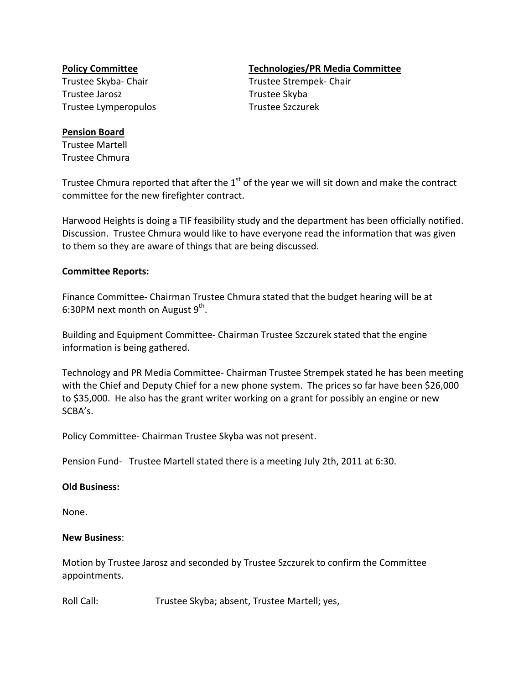Trustee Jarosz **Trustee Skyba** Trustee Lymperopulos Trustee Szczurek

### **Pension Board**

Trustee Martell Trustee Chmura

# **Policy Committee Technologies/PR Media Committee**

Trustee Skyba‐ Chair Trustee Strempek‐ Chair

Trustee Chmura reported that after the  $1<sup>st</sup>$  of the year we will sit down and make the contract committee for the new firefighter contract.

Harwood Heights is doing a TIF feasibility study and the department has been officially notified. Discussion. Trustee Chmura would like to have everyone read the information that was given to them so they are aware of things that are being discussed.

# **Committee Reports:**

Finance Committee‐ Chairman Trustee Chmura stated that the budget hearing will be at 6:30PM next month on August  $9^{\text{th}}$ .

Building and Equipment Committee‐ Chairman Trustee Szczurek stated that the engine information is being gathered.

Technology and PR Media Committee‐ Chairman Trustee Strempek stated he has been meeting with the Chief and Deputy Chief for a new phone system. The prices so far have been \$26,000 to \$35,000. He also has the grant writer working on a grant for possibly an engine or new SCBA's.

Policy Committee‐ Chairman Trustee Skyba was not present.

Pension Fund- Trustee Martell stated there is a meeting July 2th, 2011 at 6:30.

### **Old Business:**

None.

### **New Business**:

Motion by Trustee Jarosz and seconded by Trustee Szczurek to confirm the Committee appointments.

Roll Call: Trustee Skyba; absent, Trustee Martell; yes,